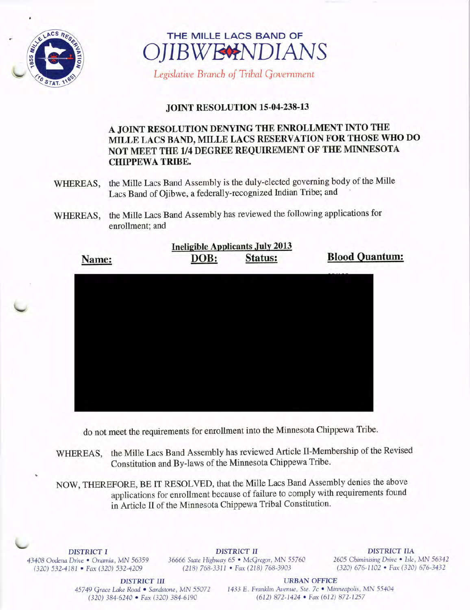



Legislative Branch of Tribal Government

## **JOINT RESOLUTION 15-04-238-13**

## A JOINT RESOLUTION DENYING THE ENROLLMENT INTO THE MILLE LACS BAND, MILLE LACS RESERVATION FOR THOSE WHO DO NOT MEET THE 1/4 DEGREE REQUIREMENT OF THE MINNESOTA **CHIPPEWA TRIBE.**

- the Mille Lacs Band Assembly is the duly-elected governing body of the Mille WHEREAS, Lacs Band of Ojibwe, a federally-recognized Indian Tribe; and
- the Mille Lacs Band Assembly has reviewed the following applications for WHEREAS, enrollment; and

| <b>Ineligible Applicants July 2013</b> |      |                |                       |
|----------------------------------------|------|----------------|-----------------------|
| Name:                                  | DOB: | <b>Status:</b> | <b>Blood Quantum:</b> |
|                                        |      |                |                       |
|                                        |      |                |                       |
|                                        |      |                |                       |
|                                        |      |                |                       |
|                                        |      |                |                       |
|                                        |      |                |                       |
|                                        |      |                |                       |
|                                        |      |                |                       |
|                                        |      |                |                       |

do not meet the requirements for enrollment into the Minnesota Chippewa Tribe.

the Mille Lacs Band Assembly has reviewed Article II-Membership of the Revised WHEREAS, Constitution and By-laws of the Minnesota Chippewa Tribe.

NOW, THEREFORE, BE IT RESOLVED, that the Mille Lacs Band Assembly denies the above applications for enrollment because of failure to comply with requirements found in Article II of the Minnesota Chippewa Tribal Constitution.

**DISTRICT I** 43408 Oodena Drive . Onamia, MN 56359 (320) 532-4181 • Fax (320) 532-4209

**DISTRICT II** 36666 State Highway 65 · McGregor, MN 55760 (218) 768-3311 • Fax (218) 768-3903

**DISTRICT IIA** 2605 Chiminising Drive . Isle, MN 56342 (320) 676-1102 • Fax (320) 676-3432

**DISTRICT III** 45749 Grace Lake Road · Sandstone, MN 55072 (320) 384-6240 • Fax (320) 384-6190

**URBAN OFFICE** 1433 E. Franklin Avenue, Ste. 7c · Minneapolis, MN 55404 (612) 872-1424 • Fax (612) 872-1257